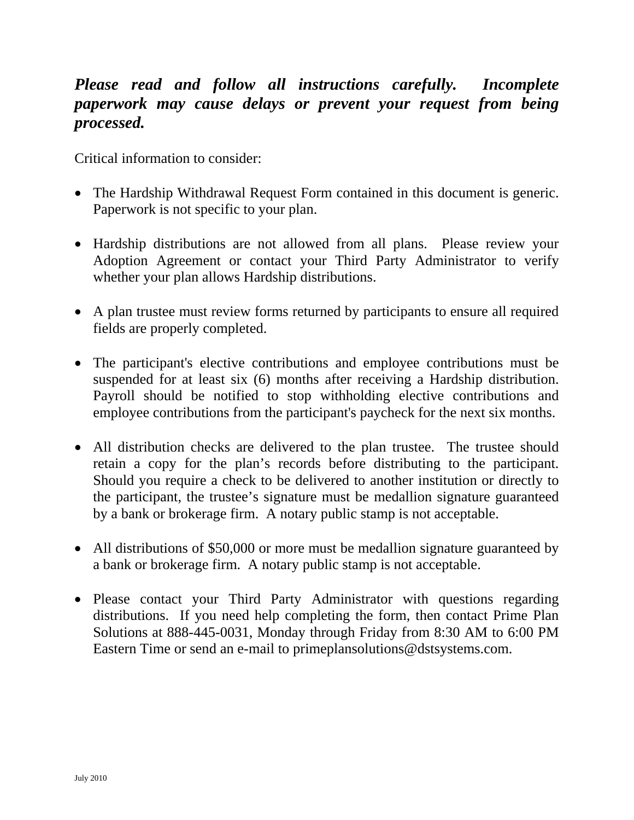# *Please read and follow all instructions carefully. Incomplete paperwork may cause delays or prevent your request from being processed.*

Critical information to consider:

- The Hardship Withdrawal Request Form contained in this document is generic. Paperwork is not specific to your plan.
- Hardship distributions are not allowed from all plans. Please review your Adoption Agreement or contact your Third Party Administrator to verify whether your plan allows Hardship distributions.
- A plan trustee must review forms returned by participants to ensure all required fields are properly completed.
- The participant's elective contributions and employee contributions must be suspended for at least six (6) months after receiving a Hardship distribution. Payroll should be notified to stop withholding elective contributions and employee contributions from the participant's paycheck for the next six months.
- All distribution checks are delivered to the plan trustee. The trustee should retain a copy for the plan's records before distributing to the participant. Should you require a check to be delivered to another institution or directly to the participant, the trustee's signature must be medallion signature guaranteed by a bank or brokerage firm. A notary public stamp is not acceptable.
- All distributions of \$50,000 or more must be medallion signature guaranteed by a bank or brokerage firm. A notary public stamp is not acceptable.
- Please contact your Third Party Administrator with questions regarding distributions. If you need help completing the form, then contact Prime Plan Solutions at 888-445-0031, Monday through Friday from 8:30 AM to 6:00 PM Eastern Time or send an e-mail to primeplansolutions@dstsystems.com.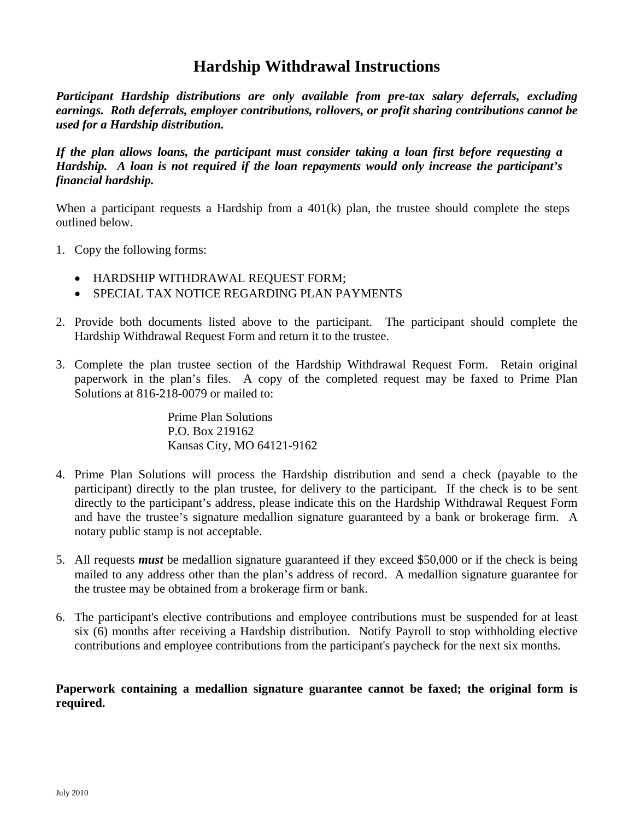# **Hardship Withdrawal Instructions**

*Participant Hardship distributions are only available from pre-tax salary deferrals, excluding earnings. Roth deferrals, employer contributions, rollovers, or profit sharing contributions cannot be used for a Hardship distribution.* 

*If the plan allows loans, the participant must consider taking a loan first before requesting a Hardship. A loan is not required if the loan repayments would only increase the participant's financial hardship.* 

When a participant requests a Hardship from a 401(k) plan, the trustee should complete the steps outlined below.

- 1. Copy the following forms:
	- HARDSHIP WITHDRAWAL REQUEST FORM;
	- SPECIAL TAX NOTICE REGARDING PLAN PAYMENTS
- 2. Provide both documents listed above to the participant. The participant should complete the Hardship Withdrawal Request Form and return it to the trustee.
- 3. Complete the plan trustee section of the Hardship Withdrawal Request Form. Retain original paperwork in the plan's files. A copy of the completed request may be faxed to Prime Plan Solutions at 816-218-0079 or mailed to:

Prime Plan Solutions P.O. Box 219162 Kansas City, MO 64121-9162

- 4. Prime Plan Solutions will process the Hardship distribution and send a check (payable to the participant) directly to the plan trustee, for delivery to the participant. If the check is to be sent directly to the participant's address, please indicate this on the Hardship Withdrawal Request Form and have the trustee's signature medallion signature guaranteed by a bank or brokerage firm. A notary public stamp is not acceptable.
- 5. All requests *must* be medallion signature guaranteed if they exceed \$50,000 or if the check is being mailed to any address other than the plan's address of record. A medallion signature guarantee for the trustee may be obtained from a brokerage firm or bank.
- 6. The participant's elective contributions and employee contributions must be suspended for at least six (6) months after receiving a Hardship distribution. Notify Payroll to stop withholding elective contributions and employee contributions from the participant's paycheck for the next six months.

**Paperwork containing a medallion signature guarantee cannot be faxed; the original form is required.**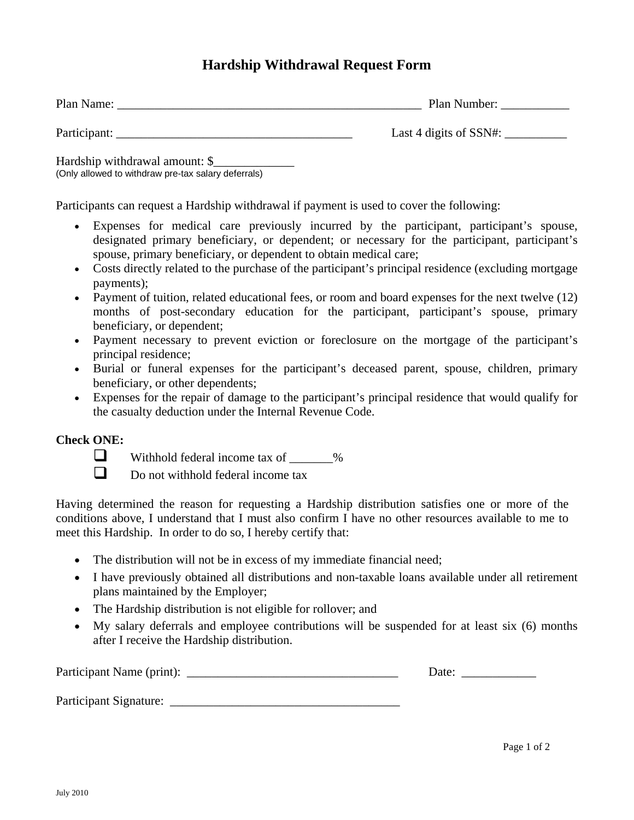## **Hardship Withdrawal Request Form**

| Plan Name:   | Plan Number:              |
|--------------|---------------------------|
| Participant: | Last 4 digits of $SSN#$ : |

Hardship withdrawal amount: \$\_\_\_\_\_\_\_\_\_\_\_\_\_ (Only allowed to withdraw pre-tax salary deferrals)

Participants can request a Hardship withdrawal if payment is used to cover the following:

- Expenses for medical care previously incurred by the participant, participant's spouse, designated primary beneficiary, or dependent; or necessary for the participant, participant's spouse, primary beneficiary, or dependent to obtain medical care;
- Costs directly related to the purchase of the participant's principal residence (excluding mortgage payments);
- Payment of tuition, related educational fees, or room and board expenses for the next twelve (12) months of post-secondary education for the participant, participant's spouse, primary beneficiary, or dependent;
- Payment necessary to prevent eviction or foreclosure on the mortgage of the participant's principal residence;
- Burial or funeral expenses for the participant's deceased parent, spouse, children, primary beneficiary, or other dependents;
- Expenses for the repair of damage to the participant's principal residence that would qualify for the casualty deduction under the Internal Revenue Code.

## **Check ONE:**



 $\Box$  Withhold federal income tax of  $\Box$  %

 $\Box$  Do not withhold federal income tax

Having determined the reason for requesting a Hardship distribution satisfies one or more of the conditions above, I understand that I must also confirm I have no other resources available to me to meet this Hardship. In order to do so, I hereby certify that:

- The distribution will not be in excess of my immediate financial need;
- I have previously obtained all distributions and non-taxable loans available under all retirement plans maintained by the Employer;
- The Hardship distribution is not eligible for rollover; and
- My salary deferrals and employee contributions will be suspended for at least six (6) months after I receive the Hardship distribution.

Participant Name (print): \_\_\_\_\_\_\_\_\_\_\_\_\_\_\_\_\_\_\_\_\_\_\_\_\_\_\_\_\_\_\_\_\_\_ Date: \_\_\_\_\_\_\_\_\_\_\_\_

Participant Signature: \_\_\_\_\_\_\_\_\_\_\_\_\_\_\_\_\_\_\_\_\_\_\_\_\_\_\_\_\_\_\_\_\_\_\_\_\_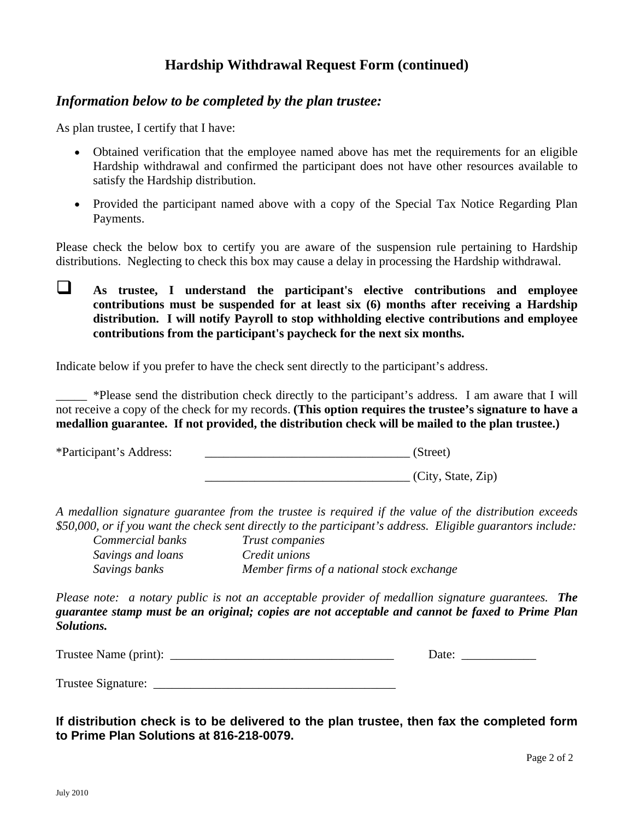## **Hardship Withdrawal Request Form (continued)**

### *Information below to be completed by the plan trustee:*

As plan trustee, I certify that I have:

- Obtained verification that the employee named above has met the requirements for an eligible Hardship withdrawal and confirmed the participant does not have other resources available to satisfy the Hardship distribution.
- Provided the participant named above with a copy of the Special Tax Notice Regarding Plan Payments.

Please check the below box to certify you are aware of the suspension rule pertaining to Hardship distributions. Neglecting to check this box may cause a delay in processing the Hardship withdrawal.

 **As trustee, I understand the participant's elective contributions and employee contributions must be suspended for at least six (6) months after receiving a Hardship distribution. I will notify Payroll to stop withholding elective contributions and employee contributions from the participant's paycheck for the next six months.** 

Indicate below if you prefer to have the check sent directly to the participant's address.

\_\_\_\_\_ \*Please send the distribution check directly to the participant's address. I am aware that I will not receive a copy of the check for my records. **(This option requires the trustee's signature to have a medallion guarantee. If not provided, the distribution check will be mailed to the plan trustee.)** 

\*Participant's Address: \_\_\_\_\_\_\_\_\_\_\_\_\_\_\_\_\_\_\_\_\_\_\_\_\_\_\_\_\_\_\_\_\_ (Street)

\_\_\_\_\_\_\_\_\_\_\_\_\_\_\_\_\_\_\_\_\_\_\_\_\_\_\_\_\_\_\_\_\_ (City, State, Zip)

*A medallion signature guarantee from the trustee is required if the value of the distribution exceeds \$50,000, or if you want the check sent directly to the participant's address. Eligible guarantors include:* 

*Savings and loans Credit unions* 

*Commercial banks Trust companies Savings banks Member firms of a national stock exchange* 

*Please note: a notary public is not an acceptable provider of medallion signature guarantees. The guarantee stamp must be an original; copies are not acceptable and cannot be faxed to Prime Plan Solutions.* 

| <b>Trustee Name</b><br>$\phi$ (print):<br>$\cdots$ |  |  |
|----------------------------------------------------|--|--|
|                                                    |  |  |

Trustee Signature: \_\_\_\_\_\_\_\_\_\_\_\_\_\_\_\_\_\_\_\_\_\_\_\_\_\_\_\_\_\_\_\_\_\_\_\_\_\_\_

**If distribution check is to be delivered to the plan trustee, then fax the completed form to Prime Plan Solutions at 816-218-0079.**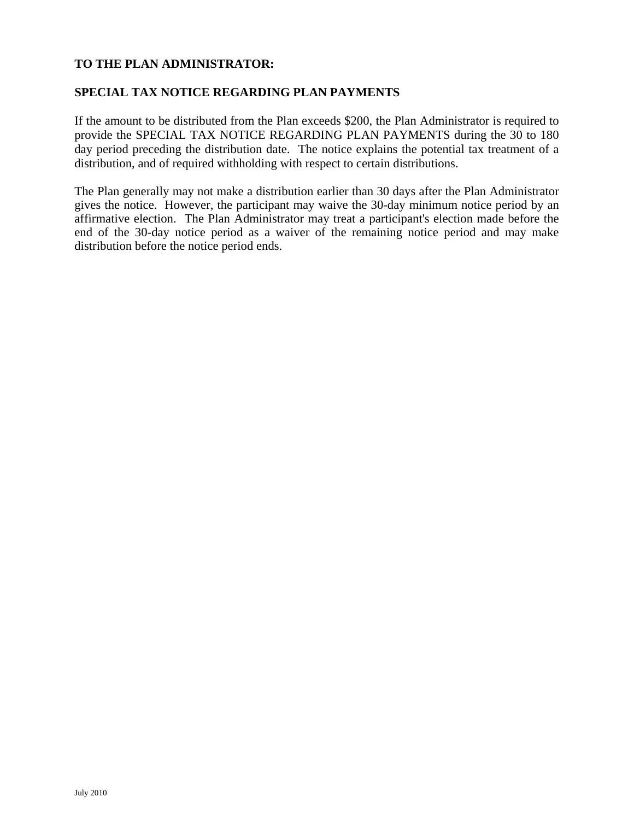### **TO THE PLAN ADMINISTRATOR:**

#### **SPECIAL TAX NOTICE REGARDING PLAN PAYMENTS**

If the amount to be distributed from the Plan exceeds \$200, the Plan Administrator is required to provide the SPECIAL TAX NOTICE REGARDING PLAN PAYMENTS during the 30 to 180 day period preceding the distribution date. The notice explains the potential tax treatment of a distribution, and of required withholding with respect to certain distributions.

The Plan generally may not make a distribution earlier than 30 days after the Plan Administrator gives the notice. However, the participant may waive the 30-day minimum notice period by an affirmative election. The Plan Administrator may treat a participant's election made before the end of the 30-day notice period as a waiver of the remaining notice period and may make distribution before the notice period ends.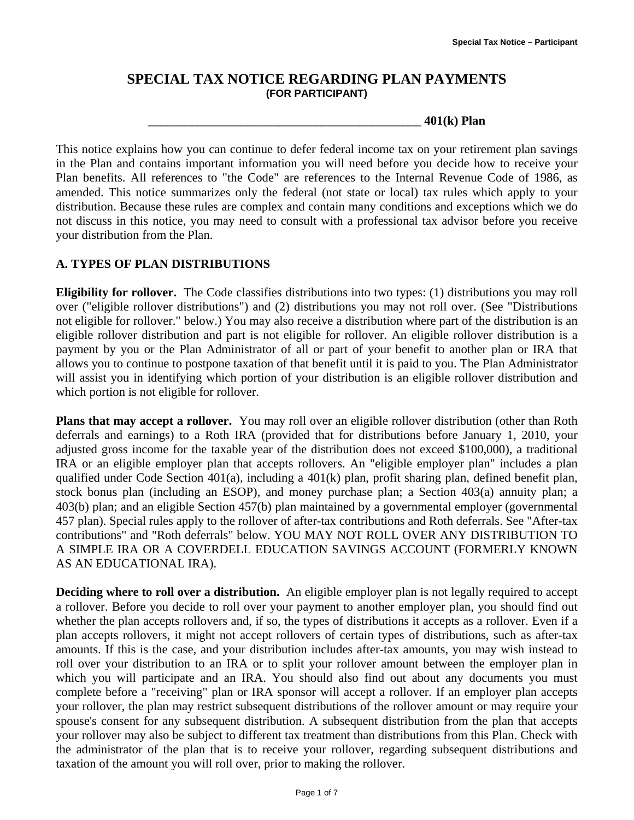## **SPECIAL TAX NOTICE REGARDING PLAN PAYMENTS (FOR PARTICIPANT)**

**\_\_\_\_\_\_\_\_\_\_\_\_\_\_\_\_\_\_\_\_\_\_\_\_\_\_\_\_\_\_\_\_\_\_\_\_\_\_\_\_\_\_\_\_ 401(k) Plan** 

This notice explains how you can continue to defer federal income tax on your retirement plan savings in the Plan and contains important information you will need before you decide how to receive your Plan benefits. All references to "the Code" are references to the Internal Revenue Code of 1986, as amended. This notice summarizes only the federal (not state or local) tax rules which apply to your distribution. Because these rules are complex and contain many conditions and exceptions which we do not discuss in this notice, you may need to consult with a professional tax advisor before you receive your distribution from the Plan.

### **A. TYPES OF PLAN DISTRIBUTIONS**

**Eligibility for rollover.** The Code classifies distributions into two types: (1) distributions you may roll over ("eligible rollover distributions") and (2) distributions you may not roll over. (See "Distributions not eligible for rollover." below.) You may also receive a distribution where part of the distribution is an eligible rollover distribution and part is not eligible for rollover. An eligible rollover distribution is a payment by you or the Plan Administrator of all or part of your benefit to another plan or IRA that allows you to continue to postpone taxation of that benefit until it is paid to you. The Plan Administrator will assist you in identifying which portion of your distribution is an eligible rollover distribution and which portion is not eligible for rollover.

**Plans that may accept a rollover.** You may roll over an eligible rollover distribution (other than Roth deferrals and earnings) to a Roth IRA (provided that for distributions before January 1, 2010, your adjusted gross income for the taxable year of the distribution does not exceed \$100,000), a traditional IRA or an eligible employer plan that accepts rollovers. An "eligible employer plan" includes a plan qualified under Code Section 401(a), including a 401(k) plan, profit sharing plan, defined benefit plan, stock bonus plan (including an ESOP), and money purchase plan; a Section 403(a) annuity plan; a 403(b) plan; and an eligible Section 457(b) plan maintained by a governmental employer (governmental 457 plan). Special rules apply to the rollover of after-tax contributions and Roth deferrals. See "After-tax contributions" and "Roth deferrals" below. YOU MAY NOT ROLL OVER ANY DISTRIBUTION TO A SIMPLE IRA OR A COVERDELL EDUCATION SAVINGS ACCOUNT (FORMERLY KNOWN AS AN EDUCATIONAL IRA).

**Deciding where to roll over a distribution.** An eligible employer plan is not legally required to accept a rollover. Before you decide to roll over your payment to another employer plan, you should find out whether the plan accepts rollovers and, if so, the types of distributions it accepts as a rollover. Even if a plan accepts rollovers, it might not accept rollovers of certain types of distributions, such as after-tax amounts. If this is the case, and your distribution includes after-tax amounts, you may wish instead to roll over your distribution to an IRA or to split your rollover amount between the employer plan in which you will participate and an IRA. You should also find out about any documents you must complete before a "receiving" plan or IRA sponsor will accept a rollover. If an employer plan accepts your rollover, the plan may restrict subsequent distributions of the rollover amount or may require your spouse's consent for any subsequent distribution. A subsequent distribution from the plan that accepts your rollover may also be subject to different tax treatment than distributions from this Plan. Check with the administrator of the plan that is to receive your rollover, regarding subsequent distributions and taxation of the amount you will roll over, prior to making the rollover.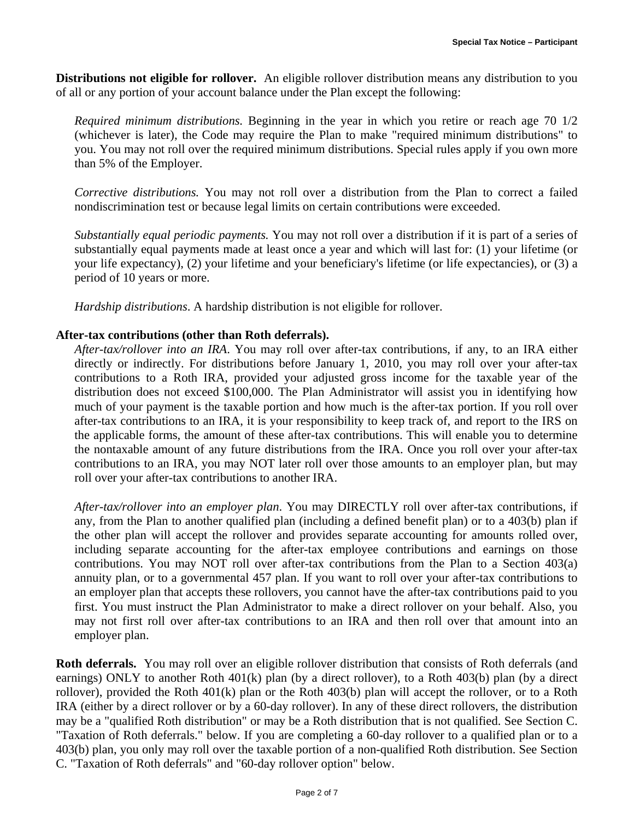**Distributions not eligible for rollover.** An eligible rollover distribution means any distribution to you of all or any portion of your account balance under the Plan except the following:

*Required minimum distributions.* Beginning in the year in which you retire or reach age 70 1/2 (whichever is later), the Code may require the Plan to make "required minimum distributions" to you. You may not roll over the required minimum distributions. Special rules apply if you own more than 5% of the Employer.

*Corrective distributions.* You may not roll over a distribution from the Plan to correct a failed nondiscrimination test or because legal limits on certain contributions were exceeded.

*Substantially equal periodic payments.* You may not roll over a distribution if it is part of a series of substantially equal payments made at least once a year and which will last for: (1) your lifetime (or your life expectancy), (2) your lifetime and your beneficiary's lifetime (or life expectancies), or (3) a period of 10 years or more.

*Hardship distributions*. A hardship distribution is not eligible for rollover.

#### **After-tax contributions (other than Roth deferrals).**

*After-tax/rollover into an IRA*. You may roll over after-tax contributions, if any, to an IRA either directly or indirectly. For distributions before January 1, 2010, you may roll over your after-tax contributions to a Roth IRA, provided your adjusted gross income for the taxable year of the distribution does not exceed \$100,000. The Plan Administrator will assist you in identifying how much of your payment is the taxable portion and how much is the after-tax portion. If you roll over after-tax contributions to an IRA, it is your responsibility to keep track of, and report to the IRS on the applicable forms, the amount of these after-tax contributions. This will enable you to determine the nontaxable amount of any future distributions from the IRA. Once you roll over your after-tax contributions to an IRA, you may NOT later roll over those amounts to an employer plan, but may roll over your after-tax contributions to another IRA.

*After-tax/rollover into an employer plan*. You may DIRECTLY roll over after-tax contributions, if any, from the Plan to another qualified plan (including a defined benefit plan) or to a 403(b) plan if the other plan will accept the rollover and provides separate accounting for amounts rolled over, including separate accounting for the after-tax employee contributions and earnings on those contributions. You may NOT roll over after-tax contributions from the Plan to a Section 403(a) annuity plan, or to a governmental 457 plan. If you want to roll over your after-tax contributions to an employer plan that accepts these rollovers, you cannot have the after-tax contributions paid to you first. You must instruct the Plan Administrator to make a direct rollover on your behalf. Also, you may not first roll over after-tax contributions to an IRA and then roll over that amount into an employer plan.

**Roth deferrals.** You may roll over an eligible rollover distribution that consists of Roth deferrals (and earnings) ONLY to another Roth 401(k) plan (by a direct rollover), to a Roth 403(b) plan (by a direct rollover), provided the Roth 401(k) plan or the Roth 403(b) plan will accept the rollover, or to a Roth IRA (either by a direct rollover or by a 60-day rollover). In any of these direct rollovers, the distribution may be a "qualified Roth distribution" or may be a Roth distribution that is not qualified. See Section C. "Taxation of Roth deferrals." below. If you are completing a 60-day rollover to a qualified plan or to a 403(b) plan, you only may roll over the taxable portion of a non-qualified Roth distribution. See Section C. "Taxation of Roth deferrals" and "60-day rollover option" below.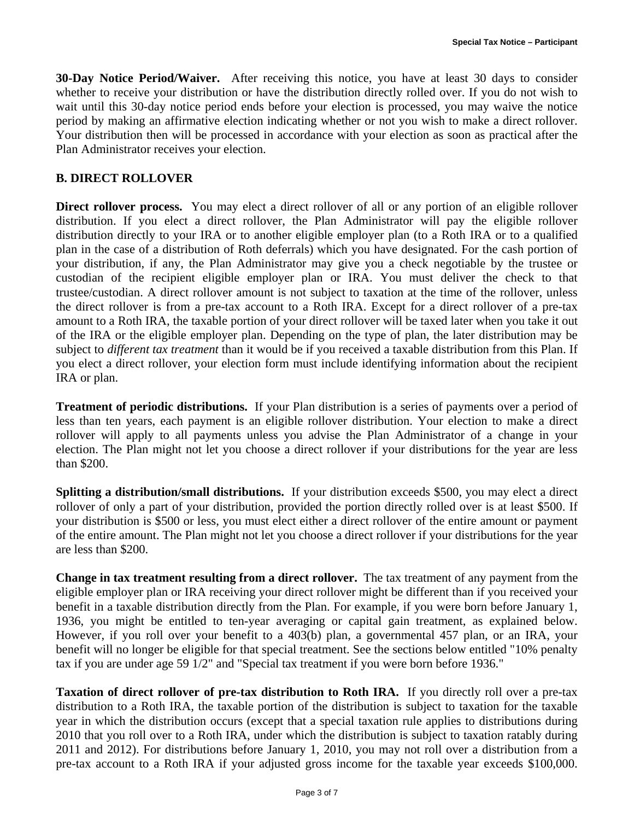**30-Day Notice Period/Waiver.** After receiving this notice, you have at least 30 days to consider whether to receive your distribution or have the distribution directly rolled over. If you do not wish to wait until this 30-day notice period ends before your election is processed, you may waive the notice period by making an affirmative election indicating whether or not you wish to make a direct rollover. Your distribution then will be processed in accordance with your election as soon as practical after the Plan Administrator receives your election.

#### **B. DIRECT ROLLOVER**

**Direct rollover process.** You may elect a direct rollover of all or any portion of an eligible rollover distribution. If you elect a direct rollover, the Plan Administrator will pay the eligible rollover distribution directly to your IRA or to another eligible employer plan (to a Roth IRA or to a qualified plan in the case of a distribution of Roth deferrals) which you have designated. For the cash portion of your distribution, if any, the Plan Administrator may give you a check negotiable by the trustee or custodian of the recipient eligible employer plan or IRA. You must deliver the check to that trustee/custodian. A direct rollover amount is not subject to taxation at the time of the rollover, unless the direct rollover is from a pre-tax account to a Roth IRA. Except for a direct rollover of a pre-tax amount to a Roth IRA, the taxable portion of your direct rollover will be taxed later when you take it out of the IRA or the eligible employer plan. Depending on the type of plan, the later distribution may be subject to *different tax treatment* than it would be if you received a taxable distribution from this Plan. If you elect a direct rollover, your election form must include identifying information about the recipient IRA or plan.

**Treatment of periodic distributions.** If your Plan distribution is a series of payments over a period of less than ten years, each payment is an eligible rollover distribution. Your election to make a direct rollover will apply to all payments unless you advise the Plan Administrator of a change in your election. The Plan might not let you choose a direct rollover if your distributions for the year are less than \$200.

**Splitting a distribution/small distributions.** If your distribution exceeds \$500, you may elect a direct rollover of only a part of your distribution, provided the portion directly rolled over is at least \$500. If your distribution is \$500 or less, you must elect either a direct rollover of the entire amount or payment of the entire amount. The Plan might not let you choose a direct rollover if your distributions for the year are less than \$200.

**Change in tax treatment resulting from a direct rollover.** The tax treatment of any payment from the eligible employer plan or IRA receiving your direct rollover might be different than if you received your benefit in a taxable distribution directly from the Plan. For example, if you were born before January 1, 1936, you might be entitled to ten-year averaging or capital gain treatment, as explained below. However, if you roll over your benefit to a 403(b) plan, a governmental 457 plan, or an IRA, your benefit will no longer be eligible for that special treatment. See the sections below entitled "10% penalty tax if you are under age 59 1/2" and "Special tax treatment if you were born before 1936."

**Taxation of direct rollover of pre-tax distribution to Roth IRA.** If you directly roll over a pre-tax distribution to a Roth IRA, the taxable portion of the distribution is subject to taxation for the taxable year in which the distribution occurs (except that a special taxation rule applies to distributions during 2010 that you roll over to a Roth IRA, under which the distribution is subject to taxation ratably during 2011 and 2012). For distributions before January 1, 2010, you may not roll over a distribution from a pre-tax account to a Roth IRA if your adjusted gross income for the taxable year exceeds \$100,000.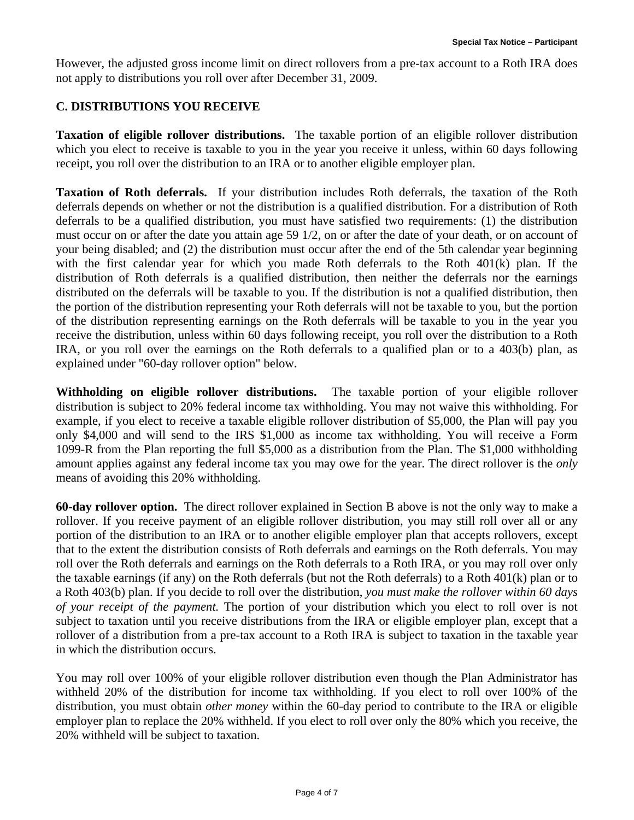However, the adjusted gross income limit on direct rollovers from a pre-tax account to a Roth IRA does not apply to distributions you roll over after December 31, 2009.

#### **C. DISTRIBUTIONS YOU RECEIVE**

**Taxation of eligible rollover distributions.** The taxable portion of an eligible rollover distribution which you elect to receive is taxable to you in the year you receive it unless, within 60 days following receipt, you roll over the distribution to an IRA or to another eligible employer plan.

**Taxation of Roth deferrals.** If your distribution includes Roth deferrals, the taxation of the Roth deferrals depends on whether or not the distribution is a qualified distribution. For a distribution of Roth deferrals to be a qualified distribution, you must have satisfied two requirements: (1) the distribution must occur on or after the date you attain age 59 1/2, on or after the date of your death, or on account of your being disabled; and (2) the distribution must occur after the end of the 5th calendar year beginning with the first calendar year for which you made Roth deferrals to the Roth 401(k) plan. If the distribution of Roth deferrals is a qualified distribution, then neither the deferrals nor the earnings distributed on the deferrals will be taxable to you. If the distribution is not a qualified distribution, then the portion of the distribution representing your Roth deferrals will not be taxable to you, but the portion of the distribution representing earnings on the Roth deferrals will be taxable to you in the year you receive the distribution, unless within 60 days following receipt, you roll over the distribution to a Roth IRA, or you roll over the earnings on the Roth deferrals to a qualified plan or to a 403(b) plan, as explained under "60-day rollover option" below.

**Withholding on eligible rollover distributions.** The taxable portion of your eligible rollover distribution is subject to 20% federal income tax withholding. You may not waive this withholding. For example, if you elect to receive a taxable eligible rollover distribution of \$5,000, the Plan will pay you only \$4,000 and will send to the IRS \$1,000 as income tax withholding. You will receive a Form 1099-R from the Plan reporting the full \$5,000 as a distribution from the Plan. The \$1,000 withholding amount applies against any federal income tax you may owe for the year. The direct rollover is the *only* means of avoiding this 20% withholding.

**60-day rollover option.** The direct rollover explained in Section B above is not the only way to make a rollover. If you receive payment of an eligible rollover distribution, you may still roll over all or any portion of the distribution to an IRA or to another eligible employer plan that accepts rollovers, except that to the extent the distribution consists of Roth deferrals and earnings on the Roth deferrals. You may roll over the Roth deferrals and earnings on the Roth deferrals to a Roth IRA, or you may roll over only the taxable earnings (if any) on the Roth deferrals (but not the Roth deferrals) to a Roth 401(k) plan or to a Roth 403(b) plan. If you decide to roll over the distribution, *you must make the rollover within 60 days of your receipt of the payment.* The portion of your distribution which you elect to roll over is not subject to taxation until you receive distributions from the IRA or eligible employer plan, except that a rollover of a distribution from a pre-tax account to a Roth IRA is subject to taxation in the taxable year in which the distribution occurs.

You may roll over 100% of your eligible rollover distribution even though the Plan Administrator has withheld 20% of the distribution for income tax withholding. If you elect to roll over 100% of the distribution, you must obtain *other money* within the 60-day period to contribute to the IRA or eligible employer plan to replace the 20% withheld. If you elect to roll over only the 80% which you receive, the 20% withheld will be subject to taxation.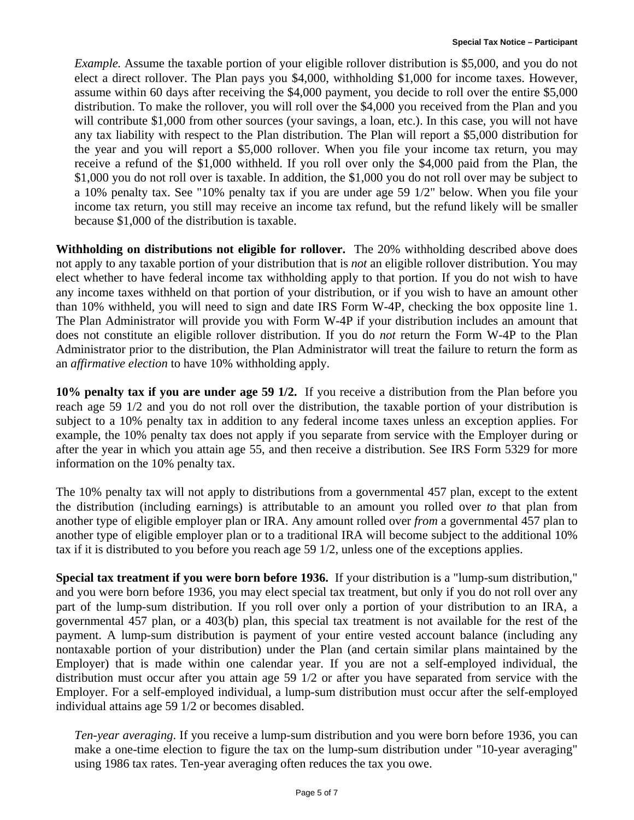*Example.* Assume the taxable portion of your eligible rollover distribution is \$5,000, and you do not elect a direct rollover. The Plan pays you \$4,000, withholding \$1,000 for income taxes. However, assume within 60 days after receiving the \$4,000 payment, you decide to roll over the entire \$5,000 distribution. To make the rollover, you will roll over the \$4,000 you received from the Plan and you will contribute \$1,000 from other sources (your savings, a loan, etc.). In this case, you will not have any tax liability with respect to the Plan distribution. The Plan will report a \$5,000 distribution for the year and you will report a \$5,000 rollover. When you file your income tax return, you may receive a refund of the \$1,000 withheld. If you roll over only the \$4,000 paid from the Plan, the \$1,000 you do not roll over is taxable. In addition, the \$1,000 you do not roll over may be subject to a 10% penalty tax. See "10% penalty tax if you are under age 59 1/2" below. When you file your income tax return, you still may receive an income tax refund, but the refund likely will be smaller because \$1,000 of the distribution is taxable.

**Withholding on distributions not eligible for rollover.** The 20% withholding described above does not apply to any taxable portion of your distribution that is *not* an eligible rollover distribution. You may elect whether to have federal income tax withholding apply to that portion. If you do not wish to have any income taxes withheld on that portion of your distribution, or if you wish to have an amount other than 10% withheld, you will need to sign and date IRS Form W-4P, checking the box opposite line 1. The Plan Administrator will provide you with Form W-4P if your distribution includes an amount that does not constitute an eligible rollover distribution. If you do *not* return the Form W-4P to the Plan Administrator prior to the distribution, the Plan Administrator will treat the failure to return the form as an *affirmative election* to have 10% withholding apply.

**10% penalty tax if you are under age 59 1/2.** If you receive a distribution from the Plan before you reach age 59 1/2 and you do not roll over the distribution, the taxable portion of your distribution is subject to a 10% penalty tax in addition to any federal income taxes unless an exception applies. For example, the 10% penalty tax does not apply if you separate from service with the Employer during or after the year in which you attain age 55, and then receive a distribution. See IRS Form 5329 for more information on the 10% penalty tax.

The 10% penalty tax will not apply to distributions from a governmental 457 plan, except to the extent the distribution (including earnings) is attributable to an amount you rolled over *to* that plan from another type of eligible employer plan or IRA. Any amount rolled over *from* a governmental 457 plan to another type of eligible employer plan or to a traditional IRA will become subject to the additional 10% tax if it is distributed to you before you reach age 59 1/2, unless one of the exceptions applies.

**Special tax treatment if you were born before 1936.** If your distribution is a "lump-sum distribution," and you were born before 1936, you may elect special tax treatment, but only if you do not roll over any part of the lump-sum distribution. If you roll over only a portion of your distribution to an IRA, a governmental 457 plan, or a 403(b) plan, this special tax treatment is not available for the rest of the payment. A lump-sum distribution is payment of your entire vested account balance (including any nontaxable portion of your distribution) under the Plan (and certain similar plans maintained by the Employer) that is made within one calendar year. If you are not a self-employed individual, the distribution must occur after you attain age 59 1/2 or after you have separated from service with the Employer. For a self-employed individual, a lump-sum distribution must occur after the self-employed individual attains age 59 1/2 or becomes disabled.

*Ten-year averaging*. If you receive a lump-sum distribution and you were born before 1936, you can make a one-time election to figure the tax on the lump-sum distribution under "10-year averaging" using 1986 tax rates. Ten-year averaging often reduces the tax you owe.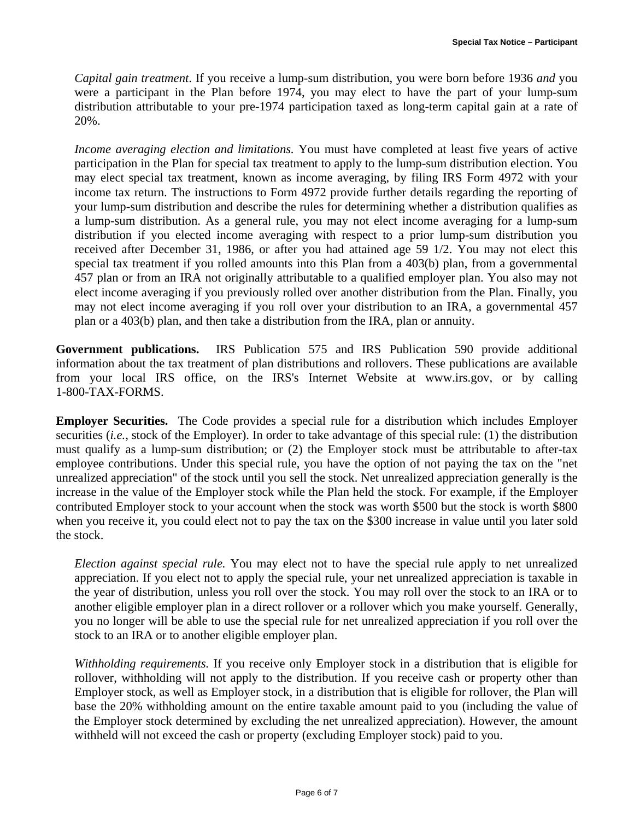*Capital gain treatment*. If you receive a lump-sum distribution, you were born before 1936 *and* you were a participant in the Plan before 1974, you may elect to have the part of your lump-sum distribution attributable to your pre-1974 participation taxed as long-term capital gain at a rate of 20%.

*Income averaging election and limitations.* You must have completed at least five years of active participation in the Plan for special tax treatment to apply to the lump-sum distribution election. You may elect special tax treatment, known as income averaging, by filing IRS Form 4972 with your income tax return. The instructions to Form 4972 provide further details regarding the reporting of your lump-sum distribution and describe the rules for determining whether a distribution qualifies as a lump-sum distribution. As a general rule, you may not elect income averaging for a lump-sum distribution if you elected income averaging with respect to a prior lump-sum distribution you received after December 31, 1986, or after you had attained age 59 1/2. You may not elect this special tax treatment if you rolled amounts into this Plan from a 403(b) plan, from a governmental 457 plan or from an IRA not originally attributable to a qualified employer plan. You also may not elect income averaging if you previously rolled over another distribution from the Plan. Finally, you may not elect income averaging if you roll over your distribution to an IRA, a governmental 457 plan or a 403(b) plan, and then take a distribution from the IRA, plan or annuity.

**Government publications.** IRS Publication 575 and IRS Publication 590 provide additional information about the tax treatment of plan distributions and rollovers. These publications are available from your local IRS office, on the IRS's Internet Website at www.irs.gov, or by calling 1-800-TAX-FORMS.

**Employer Securities.** The Code provides a special rule for a distribution which includes Employer securities (*i.e.*, stock of the Employer). In order to take advantage of this special rule: (1) the distribution must qualify as a lump-sum distribution; or (2) the Employer stock must be attributable to after-tax employee contributions. Under this special rule, you have the option of not paying the tax on the "net unrealized appreciation" of the stock until you sell the stock. Net unrealized appreciation generally is the increase in the value of the Employer stock while the Plan held the stock. For example, if the Employer contributed Employer stock to your account when the stock was worth \$500 but the stock is worth \$800 when you receive it, you could elect not to pay the tax on the \$300 increase in value until you later sold the stock.

*Election against special rule.* You may elect not to have the special rule apply to net unrealized appreciation. If you elect not to apply the special rule, your net unrealized appreciation is taxable in the year of distribution, unless you roll over the stock. You may roll over the stock to an IRA or to another eligible employer plan in a direct rollover or a rollover which you make yourself. Generally, you no longer will be able to use the special rule for net unrealized appreciation if you roll over the stock to an IRA or to another eligible employer plan.

*Withholding requirements.* If you receive only Employer stock in a distribution that is eligible for rollover, withholding will not apply to the distribution. If you receive cash or property other than Employer stock, as well as Employer stock, in a distribution that is eligible for rollover, the Plan will base the 20% withholding amount on the entire taxable amount paid to you (including the value of the Employer stock determined by excluding the net unrealized appreciation). However, the amount withheld will not exceed the cash or property (excluding Employer stock) paid to you.